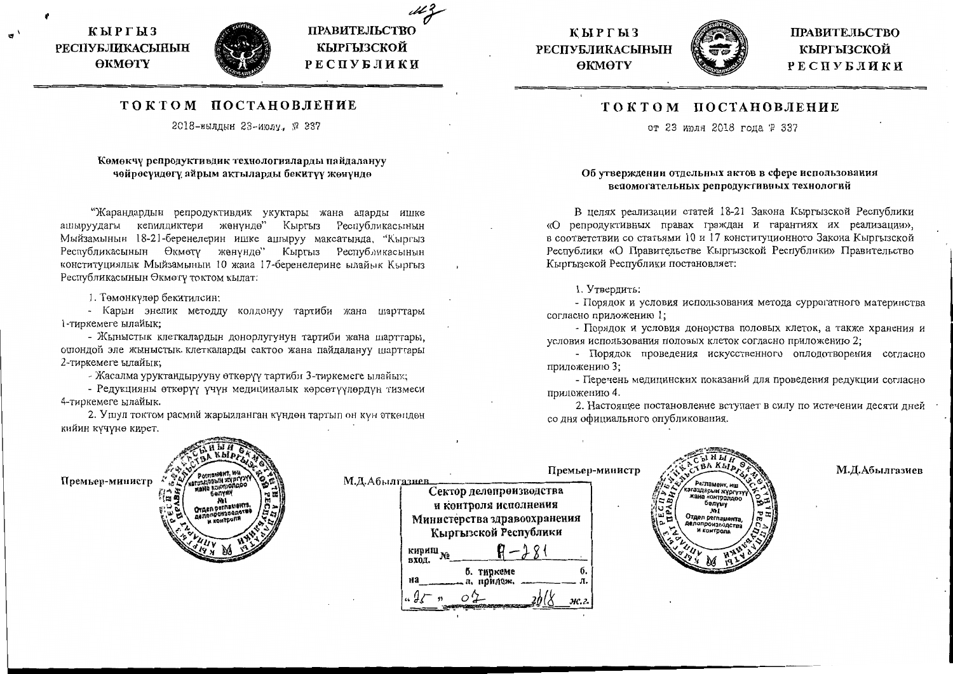КЫРГЫЗ **РЕСПУБЛИКАСЫНЫН** ӨКМӨТҮ



ПРАВИТЕЛЬСТВО

КЫРГЫЗСКОЙ

РЕСПУБЛИКИ

# ТОКТОМ ПОСТАНОВЛЕНИЕ

2018-жылдын 23-июлу, № 337

## Көмөкчү репродуктивдик технологияларды пайдалануу чөйрөсүндөгү айрым актыларды бекитүү жөнүндө

"Жарандардын репродуктивдик укуктары жана аларды ишке ашыруудагы кепилдиктери жөнүндө" Кыргыз Республикасынын Мыйзамынын 18-21-беренелерин ишке ашыруу максатында, "Кыргыз Республикасынын Өкмөтү жөнүндө" Кыргыз Республикасынын конституциялык Мыйзамынын 10 жана 17-беренелерине ылайык Кыргыз Республикасынын Өкмөтү токтом кылат:

1. Төмөнкүлөр бекитилсин:

- Карын энелик методду колдонуу тартиби жана шарттары 1-тиркемеге ылайык;

- Жыныстык клеткалардын донорлугунун тартиби жана шарттары, ошондой эле жыныстык клеткаларды сактоо жана пайдалануу шарттары 2-тиркемеге ылайык;

- Жасалма уруктандырууну өткөрүү тартиби 3-тиркемеге ылайык;

- Редукцияны өткөрүү үчүн медициналык көрсөтүүлөрдүн тизмеси 4-тиркемеге ылайык.

2. Ушул токтом расмий жарыяланган күндөн тартып он күн өткөндөн кийин күчүнө кирет.





**ПРАВИТЕЛЬСТВО** КЫРГЫЗСКОЙ РЕСПУБЛИКИ

М.Д.Абылгазиев

## ТОКТОМ ПОСТАНОВЛЕНИЕ

от 23 июля 2018 года № 337

#### Об утверждении отдельных актов в сфере использования вспомогательных репродуктивных технологий

В целях реализации статей 18-21 Закона Кыргызской Республики «О репродуктивных правах граждан и гарантиях их реализации», в соответствии со статьями 10 и 17 конституционного Закона Кыргызской Республики «О Правительстве Кыргызской Республики» Правительство Кыргызской Республики постановляет:

#### 1. Утвердить:

- Порядок и условия использования метода суррогатного материнства согласно приложению 1;

- Порядок и условия донорства половых клеток, а также хранения и условия использования половых клеток согласно приложению 2;

- Порядок проведения искусственного оплодотворения согласно приложению 3;

- Перечень медицинских показаний для проведения редукции согласно приложению 4.

2. Настоящее постановление вступает в силу по истечении десяти дней со дня официального опубликования.

> аздарын жүргүз a KOUTO рация

Дел оегла

| Portlanding, Wa.<br>Премьер-министр                                                                                                | Премьер-министр<br>М.Д.Абылгазиев.                                                                                                                                          |
|------------------------------------------------------------------------------------------------------------------------------------|-----------------------------------------------------------------------------------------------------------------------------------------------------------------------------|
| жана контроль<br>∷, es<br><b>Benym</b><br>ш.<br>ី (២ ខែ<br>OYAER POTREMONTS,<br>8è<br><b>Депопроизведстве</b><br><b>N</b> KONTPONS | Сектор делопроизводства<br>и контроля исполнения<br>Министерства здравоохранения<br>Кыргызской Республики<br>кириш.<br>N.<br>вход.<br>б. тиркеме<br>на<br>л, поилож<br>ж.г. |
|                                                                                                                                    |                                                                                                                                                                             |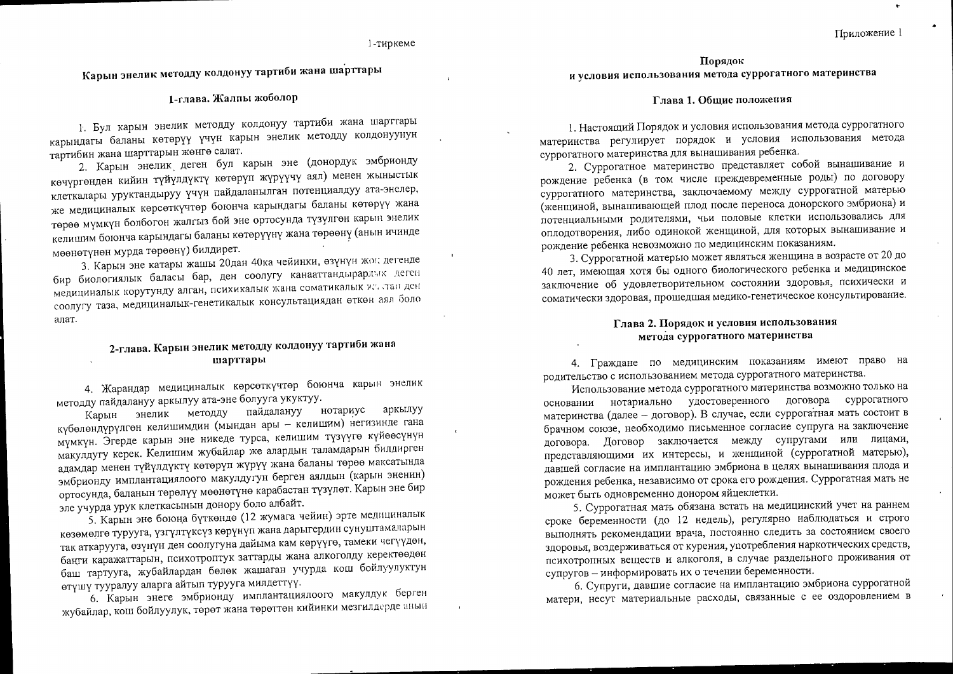1-тиркеме

Карын энелик методду колдонуу тартиби жана шарттары

## 1-глава. Жалпы жоболор

1. Бул карын энелик методду колдонуу тартиби жана шарттары карындагы баланы көтөрүү үчүн карын энелик методду колдонуунун тартибин жана шарттарын жөнгө салат.

2. Карын энелик деген бул карын эне (донордук эмбрионду көчүргөндөн кийин түйүлдүктү көтөрүп жүрүүчү аял) менен жыныстык клеткалары уруктандыруу үчүн пайдаланылган потенциалдуу ата-энелер, же медициналык көрсөткүчтөр боюнча карындагы баланы көтөрүү жана төрөө мүмкүн болбогон жалгыз бой эне ортосунда түзүлгөн карын энелик келишим боюнча карындагы баланы көтөрүүнү жана төрөөнү (анын ичинде мөөнөтүнөн мурда төрөөнү) билдирет.

3. Карын эне катары жашы 20дан 40ка чейинки, өзүнүн жок дегенде бир биологиялык баласы бар, ден соолугу канааттандырарлык деген медициналык корутунду алган, психикалык жана соматикалык жактан ден соолугу таза, медициналык-генетикалык консультациядан өткөн аял боло алат.

## 2-глава. Карын энелик методду колдонуу тартиби жана шарттары

4. Жарандар медициналык көрсөткүчтөр боюнча карын энелик методду пайдалануу аркылуу ата-эне болууга укуктуу.

Карын энелик методду пайдалануу нотариус аркылуу күбөлөндүрүлгөн келишимдин (мындан ары - келишим) негизинде гана мүмкүн. Эгерде карын эне никеде турса, келишим түзүүгө күйөөсүнүн макулдугу керек. Келишим жубайлар же алардын таламдарын билдирген адамдар менен түйүлдүктү көтөрүп жүрүү жана баланы төрөө максатында эмбрионду имплантациялоого макулдугун берген аялдын (карын эненин) ортосунда, баланын төрөлүү мөөнөтүнө карабастан түзүлөт. Карын эне бир эле учурда урук клеткасынын донору боло албайт.

5. Карын эне боюна бүткөндө (12 жумага чейин) эрте медициналык көзөмөлгө турууга, үзгүлтүксүз көрүнүп жана дарыгердин сунуштамаларын так аткарууга, өзүнүн ден соолугуна дайыма кам көрүүгө, тамеки чегүүдөн, баңги каражаттарын, психотроптук заттарды жана алкоголду керектөөдөн баш тартууга, жубайлардан бөлөк жашаган учурда кош бойлуулуктун өтүшү тууралуу аларга айтып турууга милдеттүү.

6. Карын энеге эмбрионду имплантациялоого макулдук берген жубайлар, кош бойлуулук, төрөт жана төрөттөн кийинки мезгилдерде анын

Порядок и условия использования метода суррогатного материнства

#### Глава 1. Общие положения

1. Настоящий Порядок и условия использования метода суррогатного материнства регулирует порядок и условия использования метода суррогатного материнства для вынашивания ребенка.

2. Суррогатное материнство представляет собой вынашивание и рождение ребенка (в том числе преждевременные роды) по договору суррогатного материнства, заключаемому между суррогатной матерью (женщиной, вынашивающей плод после переноса донорского эмбриона) и потенциальными родителями, чьи половые клетки использовались для оплодотворения, либо одинокой женщиной, для которых вынашивание и рождение ребенка невозможно по медицинским показаниям.

3. Суррогатной матерью может являться женщина в возрасте от 20 до 40 лет, имеющая хотя бы одного биологического ребенка и медицинское заключение об удовлетворительном состоянии здоровья, психически и соматически здоровая, прошедшая медико-генетическое консультирование.

### Глава 2. Порядок и условия использования метода суррогатного материнства

4. Граждане по медицинским показаниям имеют право на родительство с использованием метода суррогатного материнства.

Использование метода суррогатного материнства возможно только на основании нотариально удостоверенного договора суррогатного материнства (далее - договор). В случае, если суррогатная мать состоит в брачном союзе, необходимо письменное согласие супруга на заключение договора. Договор заключается между супругами или лицами, представляющими их интересы, и женщиной (суррогатной матерью), давшей согласие на имплантацию эмбриона в целях вынашивания плода и рождения ребенка, независимо от срока его рождения. Суррогатная мать не может быть одновременно донором яйцеклетки.

5. Суррогатная мать обязана встать на медицинский учет на раннем сроке беременности (до 12 недель), регулярно наблюдаться и строго выполнять рекомендации врача, постоянно следить за состоянием своего здоровья, воздерживаться от курения, употребления наркотических средств, психотропных веществ и алкоголя, в случае раздельного проживания от супругов - информировать их о течении беременности.

6. Супруги, давшие согласие на имплантацию эмбриона суррогатной матери, несут материальные расходы, связанные с ее оздоровлением в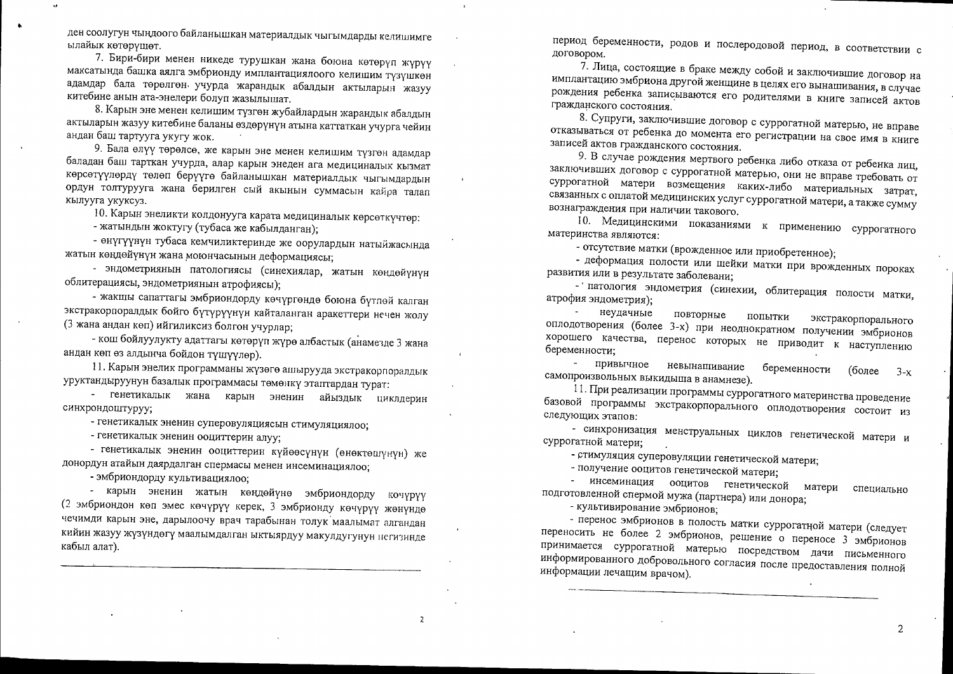ден соолугун чыңдоого байланышкан материалдык чыгымдарды келишимге ылайык көтөрүшөт.

7. Бири-бири менен никеде турушкан жана боюна көтөрүп жүрүү максатында башка аялга эмбрионду имплантациялоого келишим түзүшкөн адамдар бала төрөлгөн учурда жарандык абалдын актыларын жазуу китебине анын ата-энелери болуп жазылышат.

8. Карын эне менен келишим түзгөн жубайлардын жарандык абалдын актыларын жазуу китебине баланы өздөрүнүн атына каттаткан үчүрга чейин андан баш тартууга укугу жок.

9. Бала өлүү төрөлсө, же карын эне менен келишим түзгөн адамдар баладан баш тарткан учурда, алар карын энеден ага медициналык кызмат көрсөтүүлөрдү төлөп берүүгө байланышкан материалдык чыгымдардын ордун толтурууга жана берилген сый акынын суммасын кайра талап кылууга укуксуз.

10. Карын энеликти колдонууга карата медициналык көрсөткүчтөр:

- жатындын жоктугу (тубаса же кабылданган);

- өнүгүүнүн тубаса кемчиликтеринде же оорулардын натыйжасында жатын көңдөйүнүн жана моюнчасынын деформациясы;

- эндометриянын патологиясы (синехиялар, жатын көндөйүнүн облитерациясы, эндометриянын атрофиясы);

- жакшы сапаттагы эмбриондорду көчүргөндө боюна бүтлөй калган экстракорпоралдык бойго бүтүрүүнүн кайталанган аракеттери нечен жолу (3 жана андан көп) ийгиликсиз болгон учурлар;

- кош бойлуулукту адаттагы көтөрүп жүрө албастык (анамезде 3 жана андан көп өз алдынча бойдон түшүүлөр).

11. Карын энелик программаны жүзөгө ашырууда экстракорпоралдык уруктандыруунун базалык программасы төмөнкү этаптардан турат:

- генетикалык жана карын эненин айыздык циклдерин синхрондоштуруу;

- генетикалык эненин суперовуляциясын стимуляциялоо;

- генетикалык эненин ооциттерин алуу;

- генетикалык эненин ооциттерин күйөөсүнүн (өнөктөшүнүн) же донордун атайын даярдалган спермасы менен инсеминациялоо;

- эмбриондорду культивациялоо;

- карын эненин жатын көңдөйүнө эмбриондорду кочүрүү (2 эмбриондон көп эмес көчүрүү керек, 3 эмбрионду көчүрүү жөнүндө чечимди карын эне, дарылоочу врач тарабынан толук маалымат алгандан кийин жазуу жүзүндөгү маалымдалган ыктыярдуу макулдугунун иегизинде кабыл алат).

период беременности, родов и послеродовой период, в соответствии с договором.

7. Лица, состоящие в браке между собой и заключившие договор на имплантацию эмбриона другой женщине в целях его вынашивания, в случае рождения ребенка записываются его родителями в книге записей актов гражданского состояния.

8. Супруги, заключившие договор с суррогатной матерью, не вправе отказываться от ребенка до момента его регистрации на свое имя в книге записей актов гражданского состояния.

9. В случае рождения мертвого ребенка либо отказа от ребенка лиц, заключивших договор с суррогатной матерью, они не вправе требовать от суррогатной матери возмещения каких-либо материальных затрат, связанных с оплатой медицинских услуг суррогатной матери, а также сумму вознаграждения при наличии такового.

10. Медицинскими показаниями к применению суррогатного материнства являются:

- отсутствие матки (врожденное или приобретенное);

- деформация полости или шейки матки при врожденных пороках развития или в результате заболевани:

- патология эндометрия (синехии, облитерация полости матки, атрофия эндометрия);

неудачные  $\tilde{\phantom{a}}$ повторные попытки экстракорпорального оплодотворения (более 3-х) при неоднократном получении эмбрионов хорошего качества, перенос которых не приводит к наступлению беременности;

привычное невынашивание беременности (более  $3-x$ самопроизвольных выкидыша в анамнезе).

11. При реализации программы суррогатного материнства проведение базовой программы экстракорпорального оплодотворения состоит из следующих этапов:

- синхронизация менструальных циклов генетической матери и суррогатной матери;

- стимуляция суперовуляции генетической матери;

- получение ооцитов генетической матери;

- инсеминация ооцитов генетической матери специально подготовленной спермой мужа (партнера) или донора;

- культивирование эмбрионов;

- перенос эмбрионов в полость матки суррогатной матери (следует переносить не более 2 эмбрионов, решение о переносе 3 эмбрионов принимается суррогатной матерью посредством дачи письменного информированного добровольного согласия после предоставления полной информации лечащим врачом).

 $\overline{2}$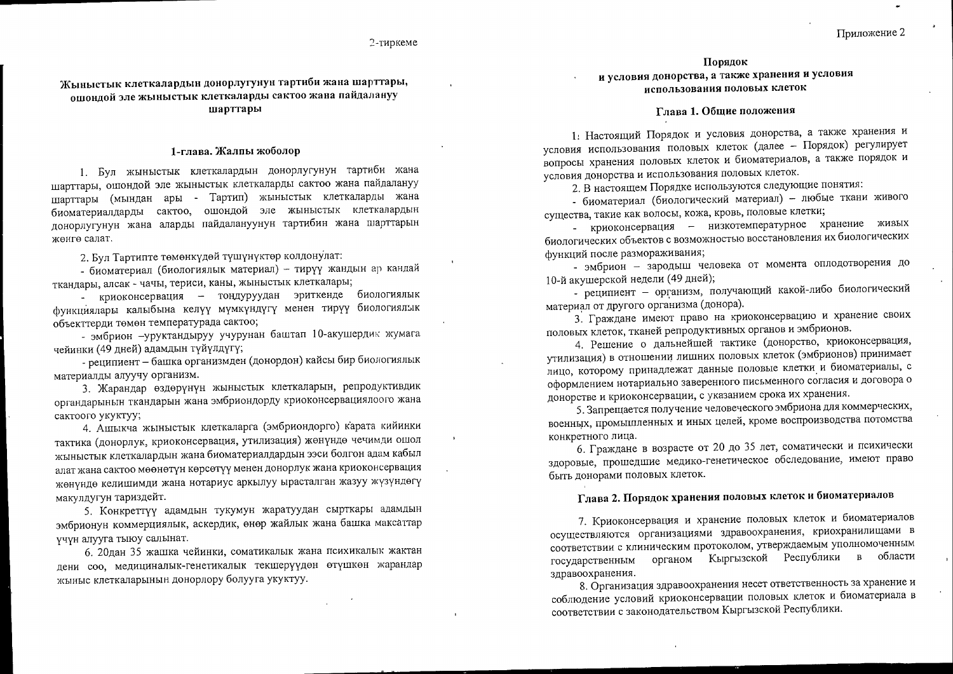## Жыныстык клеткалардын донорлугунун тартиби жана шарттары, ошондой эле жыныстык клеткаларды сактоо жана пайдалануу шарттары

#### 1-глава. Жалпы жоболор

1. Бул жыныстык клеткалардын донорлугунун тартиби жана шарттары, ошондой эле жыныстык клеткаларды сактоо жана пайдалануу шарттары (мындан ары - Тартип) жыныстык клеткаларды жана биоматериалдарды сактоо, ошондой эле жыныстык клеткалардын донорлугунун жана аларды пайдалануунун тартибин жана шарттарын женге салат.

2. Бул Тартипте төмөнкүдөй түшүнүктөр колдонулат:

- биоматериал (биологиялык материал) - тирүү жандын ар кандай ткандары, алсак - чачы, териси, каны, жыныстык клеткалары;

- криоконсервация - тондуруудан эриткенде биологиялык функциялары калыбына келүү мүмкүндүгү менен тирүү биологиялык объекттерди төмөн температурада сактоо;

- эмбрион -уруктандыруу учурунан баштап 10-акушердик жумага чейинки (49 дней) адамдын түйүлдүгү;

- реципиент - башка организмден (донордон) кайсы бир биологиялык материалды алуучу организм.

3. Жарандар өздөрүнүн жыныстык клеткаларын, репродуктивдик органдарынын ткандарын жана эмбриондорду криоконсервациялоого жана сактоого укуктуу;

4. Ашыкча жыныстык клеткаларга (эмбриондорго) карата кийинки тактика (донорлук, криоконсервация, утилизация) жөнүндө чечимди ошол жыныстык клеткалардын жана биоматериалдардын ээси болгон адам кабыл алат жана сактоо мөөнөтүн көрсөтүү менен донорлук жана криоконсервация жөнүндө келишимди жана нотариус аркылуу ырасталган жазуу жүзүндөгү макулдугун тариздейт.

5. Конкреттүү адамдын тукумун жаратуудан сырткары адамдын эмбрионун коммерциялык, аскердик, өнөр жайлык жана башка максаттар учун алууга тыюу салынат.

6. 20дан 35 жашка чейинки, соматикалык жана психикалык жактан дени соо, медициналык-генетикалык текшерүүдөн өтүшкөн жарандар жыныс клеткаларынын донорлору болууга укуктуу.

#### Порядок

и условия донорства, а также хранения и условия использования половых клеток

### Глава 1. Общие положения

1: Настоящий Порядок и условия донорства, а также хранения и условия использования половых клеток (далее - Порядок) регулирует вопросы хранения половых клеток и биоматериалов, а также порядок и условия донорства и использования половых клеток.

2. В настоящем Порядке используются следующие понятия:

- биоматериал (биологический материал) - любые ткани живого существа, такие как волосы, кожа, кровь, половые клетки;

- криоконсервация - низкотемпературное хранение живых биологических объектов с возможностью восстановления их биологических функций после размораживания;

- эмбрион - зародыш человека от момента оплодотворения до 10-й акушерской недели (49 дней);

- реципиент - организм, получающий какой-либо биологический материал от другого организма (донора).

3. Граждане имеют право на криоконсервацию и хранение своих половых клеток, тканей репродуктивных органов и эмбрионов.

4. Решение о дальнейшей тактике (донорство, криоконсервация, утилизация) в отношении лишних половых клеток (эмбрионов) принимает лицо, которому принадлежат данные половые клетки и биоматериалы, с оформлением нотариально заверенного письменного согласия и договора о донорстве и криоконсервации, с указанием срока их хранения.

5. Запрещается получение человеческого эмбриона для коммерческих, военных, промышленных и иных целей, кроме воспроизводства потомства конкретного лица.

6. Граждане в возрасте от 20 до 35 лет, соматически и психически здоровые, прошедшие медико-генетическое обследование, имеют право быть донорами половых клеток.

# Глава 2. Порядок хранения половых клеток и биоматериалов

7. Криоконсервация и хранение половых клеток и биоматериалов осуществляются организациями здравоохранения, криохранилищами в соответствии с клиническим протоколом, утверждаемым уполномоченным государственным органом Кыргызской Республики в области здравоохранения.

8. Организация здравоохранения несет ответственность за хранение и соблюдение условий криоконсервации половых клеток и биоматериала в соответствии с законодательством Кыргызской Республики.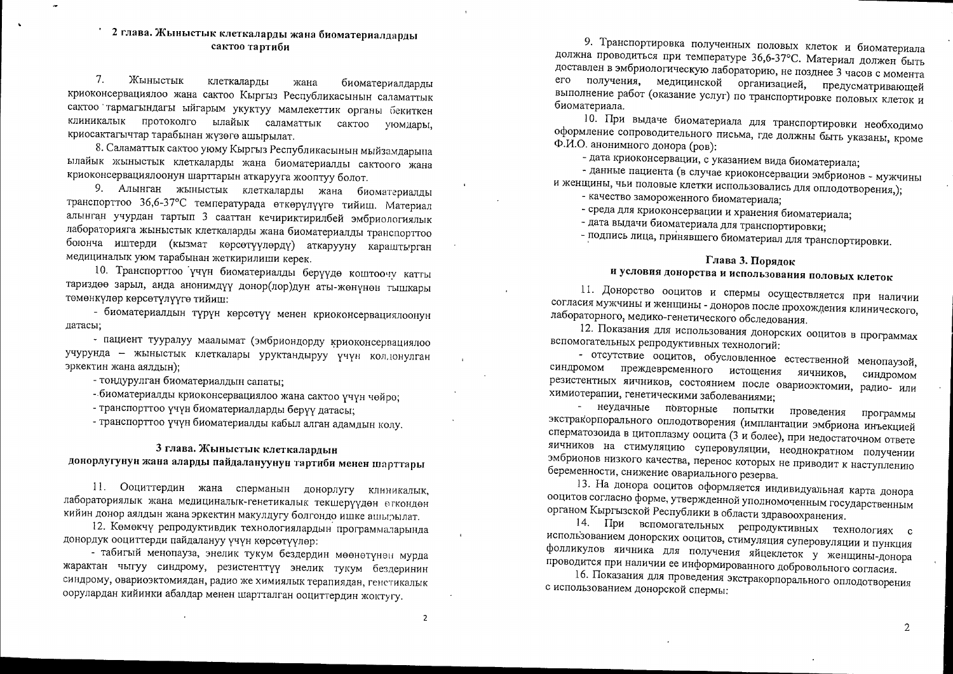## 2 глава. Жыныстык клеткаларды жана биоматериалдарды сактоо тартиби

 $7.$ Жыныстык клеткаларды жана биоматериалдарды криоконсервациялоо жана сактоо Кыргыз Республикасынын саламаттык сактоо тармагындагы ыйгарым укуктуу мамлекеттик органы бекиткен клиникалык протоколго ылайык саламаттык сактоо уюмдары, криосактагычтар тарабынан жүзөгө ашырылат.

8. Саламаттык сактоо уюму Кыргыз Республикасынын мыйзамдарына ылайык жыныстык клеткаларды жана биоматериалды сактоого жана криоконсервациялоонун шарттарын аткарууга жооптуу болот.

9. Алынган жыныстык клеткаларды жана биоматериалды транспорттоо 36,6-37°С температурада өткөрүлүүгө тийиш. Материал алынган учурдан тартып 3 сааттан кечириктирилбей эмбриологиялык лабораторияга жыныстык клеткаларды жана биоматериалды транспорттоо боюнча иштерди (кызмат көрсөтүүлөрдү) аткарууну караштырган медициналык уюм тарабынан жеткирилиши керек.

10. Транспорттоо үчүн биоматериалды берүүдө коштоочу катты тариздөө зарыл, анда анонимдүү донор(лор)дун аты-жөнүнөн тышкары төмөнкүлөр көрсөтүлүүгө тийиш:

- биоматериалдын түрүн көрсөтүү менен криоконсервациялоонун датасы;

- пациент тууралуу маалымат (эмбриондорду криоконсервациялоо учурунда - жыныстык клеткалары уруктандыруу үчүн колдонулган эркектин жана аялдын):

- тоңдурулган биоматериалдын сапаты;

- биоматериалды криоконсервациялоо жана сактоо үчүн чөйрө;

- транспорттоо үчүн биоматериалдарды берүү датасы;

- транспорттоо үчүн биоматериалды кабыл алган адамдын колу.

## 3 глава. Жыныстык клеткалардын донорлугунун жана аларды пайдалануунун тартиби менен шарттары

11. Ооциттердин жана сперманын донорлугу клиникалык, лабораториялык жана медициналык-генетикалык текшерүүдөн өгкондөн кийин донор аялдын жана эркектин макулдугу болгондо ишке ашыгылат.

12. Көмөкчү репродуктивдик технологиялардын программаларында донордук ооциттерди пайдалануу үчүн көрсөтүүлөр:

- табигый менопауза, энелик тукум бездердин мөөнөтүнөн мурда жарактан чыгуу синдрому, резистенттүү энелик тукум бездеринин синдрому, овариоэктомиядан, радио же химиялык терапиядан, генетикалык оорулардан кийинки абалдар менен шартталган ооциттердин жоктугу.

9. Транспортировка полученных половых клеток и биоматериала должна проводиться при температуре 36,6-37°С. Материал должен быть доставлен в эмбриологическую лабораторию, не позднее 3 часов с момента его получения, медицинской организацией, предусматривающей выполнение работ (оказание услуг) по транспортировке половых клеток и биоматериала.

10. При выдаче биоматериала для транспортировки необходимо оформление сопроводительного письма, где должны быть указаны, кроме Ф.И.О. анонимного донора (ров):

- дата криоконсервации, с указанием вида биоматериала;

- данные пациента (в случае криоконсервации эмбрионов - мужчины и женщины, чьи половые клетки использовались для оплодотворения,);

- качество замороженного биоматериала;

- среда для криоконсервации и хранения биоматериала;

- дата выдачи биоматериала для транспортировки;

- подпись лица, принявшего биоматериал для транспортировки.

## Глава 3. Порядок

# и условия донорства и использования половых клеток

11. Донорство ооцитов и спермы осуществляется при наличии согласия мужчины и женщины - доноров после прохождения клинического, лабораторного, медико-генетического обследования.

12. Показания для использования донорских ооцитов в программах вспомогательных репродуктивных технологий:

- отсутствие ооцитов, обусловленное естественной менопаузой, синдромом преждевременного истощения яичников, синдромом резистентных яичников, состоянием после овариоэктомии, радио- или химиотерапии, генетическими заболеваниями;

- неудачные повторные попытки проведения программы экстракорпорального оплодотворения (имплантации эмбриона инъекцией сперматозоида в цитоплазму ооцита (3 и более), при недостаточном ответе яичников на стимуляцию суперовуляции, неоднократном получении эмбрионов низкого качества, перенос которых не приводит к наступлению беременности, снижение овариального резерва.

13. На донора ооцитов оформляется индивидуальная карта донора ооцитов согласно форме, утвержденной уполномоченным государственным органом Кыргызской Республики в области здравоохранения.

14. При вспомогательных репродуктивных технологиях с использованием донорских ооцитов, стимуляция суперовуляции и пункция фолликулов яичника для получения яйцеклеток у женщины-донора проводится при наличии ее информированного добровольного согласия.

16. Показания для проведения экстракорпорального оплодотворения с использованием донорской спермы:

 $\overline{2}$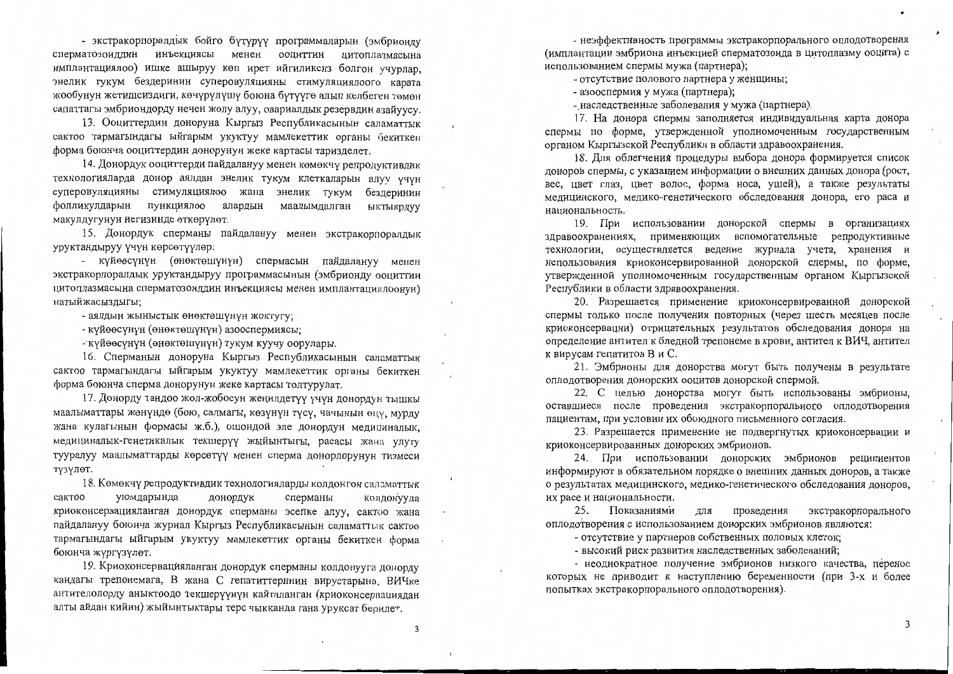- экстракорпоралдык бойго бүтүрүү программаларын (эмбрионду сперматозоиддин инъекциясы менен ооциттин цитоплазмасына имплантациялоо) ишке ашыруу көп ирет ийгиликсиз болгон учурлар, энелик тукум бездеринин суперовуляцияны стимуляциялоого карата жообунун жетишсиздиги, көчүрүлүшү боюна бүтүүгө алып келбеген төмөн сапаттагы эмбриондорду нечен жолу алуу, овариалдык резервдин азайуусу.

13. Ооциттердин доноруна Кыргыз Республикасынын саламаттык сактоо тармагындагы ыйгарым укуктуу мамлекеттик органы бекиткен форма боюнча ооциттердин донорунун жеке картасы таризделет.

14. Донордук ооциттерди пайдалануу менен көмөкчү репродуктивдик технологияларда донор аялдан энелик тукум клеткаларын алуу үчүн суперовуляцияны стимуляциялоо жана энелик тукум бездеринин фолликулдарын пункциялоо алардын маалымдалган ыктыярдуу макулдугунун негизинде өткөрүлөт.

15. Донордук сперманы пайдалануу менен экстракорпоралдык уруктандыруу үчүн көрсөтүүлөр:

- күйөөсүнүн (өнөктөшүнүн) спермасын пайдалануу менен экстракорпоралдык уруктандыруу программасынын (эмбрионду ооциттин цитоплазмасына сперматозоиддин инъекциясы менен имплантациялоонун) натыйжасыздыгы;

- аялдын жыныстык өнөктөшүнүн жоктугу;

- күйөөсүнүн (өнөктөшүнүн) азооспермиясы;

- күйөөсүнүн (өнөктөшүнүн) тукум куучу оорулары.

16. Сперманын доноруна Кыргыз Республикасынын саламаттык сактоо тармагындагы ыйгарым укуктуу мамлекеттик органы бекиткен форма боюнча сперма донорунун жеке картасы толтурулат.

17. Донорду тандоо жол-жобосун жеңилдетүү үчүн донордун тышкы маалыматтары жөнүндө (бою, салмагы, көзүнүн түсү, чачынын өңү, мурду жана кулагынын формасы ж.б.), ошондой эле донордун медициналык, медициналык-генетикалык текшерүү жыйынтыгы, расасы жана улуту тууралуу маалыматтарды көрсөтүү менен сперма донорлорунун тизмеси түзүлөт.

18. Көмөкчү репродуктивдик технологияларды колдонгон саламаттык уюмдарында сактоо донордук сперманы колдонууда криоконсервацияланган донордук сперманы эсепке алуу, сактоо жана пайдалануу боюнча журнал Кыргыз Республикасынын саламаттык сактоо тармагындагы ыйгарым укуктуу мамлекеттик органы бекиткен форма боюнча жүргүзүлөт.

19. Криоконсервацияланган донордук сперманы колдонууга донорду кандагы трепонемага, В жана С гепатиттеринин вирустарына, ВИЧке антителолорду аныктоодо текшерүүнүн кайталанган (криоконсервациядан алты айдан кийин) жыйынтыктары терс чыкканда гана уруксат берилет.

- неэффективность программы экстракорпорального оплодотворения (имплантации эмбриона инъекцией сперматозоида в цитоплазму ооцита) с использованием спермы мужа (партнера);

- отсутствие полового партнера у женщины;

- азооспермия у мужа (партнера);

- наследственные заболевания у мужа (партнера).

17. На донора спермы заполняется индивидуальная карта донора спермы по форме, утвержденной уполномоченным государственным органом Кыргызской Республики в области здравоохранения.

18. Для облегчения процедуры выбора донора формируется список доноров спермы, с указанием информации о внешних данных донора (рост, вес, цвет глаз, цвет волос, форма носа, ушей), а также результаты медицинского, медико-генетического обследования донора, его раса и национальность.

19. При использовании донорской спермы в организациях здравоохранениях, применяющих вспомогательные репродуктивные технологии, осуществляется ведение журнала учета, хранения и использования криоконсервированной донорской спермы, по форме, утвержденной уполномоченным государственным органом Кыргызской Республики в области здравоохранения.

20. Разрешается применение криоконсервированной донорской спермы только после получения повторных (через шесть месяцев после криоконсервации) отрицательных результатов обследования донора на определение антител к бледной трепонеме в крови, антител к ВИЧ, антител к вирусам гепатитов В и С.

21. Эмбрионы для донорства могут быть получены в результате оплодотворения донорских ооцитов донорской спермой.

22. С целью донорства могут быть использованы эмбрионы, оставшиеся после проведения экстракорпорального оплодотворения пациентам, при условии их обоюдного письменного согласия.

23. Разрешается применение не подвергнутых криоконсервации и криоконсервированных донорских эмбрионов.

24. При использовании донорских эмбрионов реципиентов информируют в обязательном порядке о внешних данных доноров, а также о результатах медицинского, медико-генетического обследования доноров, их расе и национальности.

25. Показаниями для проведения экстракорпорального оплодотворения с использованием донорских эмбрионов являются:

- отсутствие у партнеров собственных половых клеток;

- высокий риск развития наследственных заболеваний;

- неоднократное получение эмбрионов низкого качества, перенос которых не приводит к наступлению беременности (при 3-х и более попытках экстракорпорального оплодотворения).

 $\overline{\mathbf{3}}$ 

3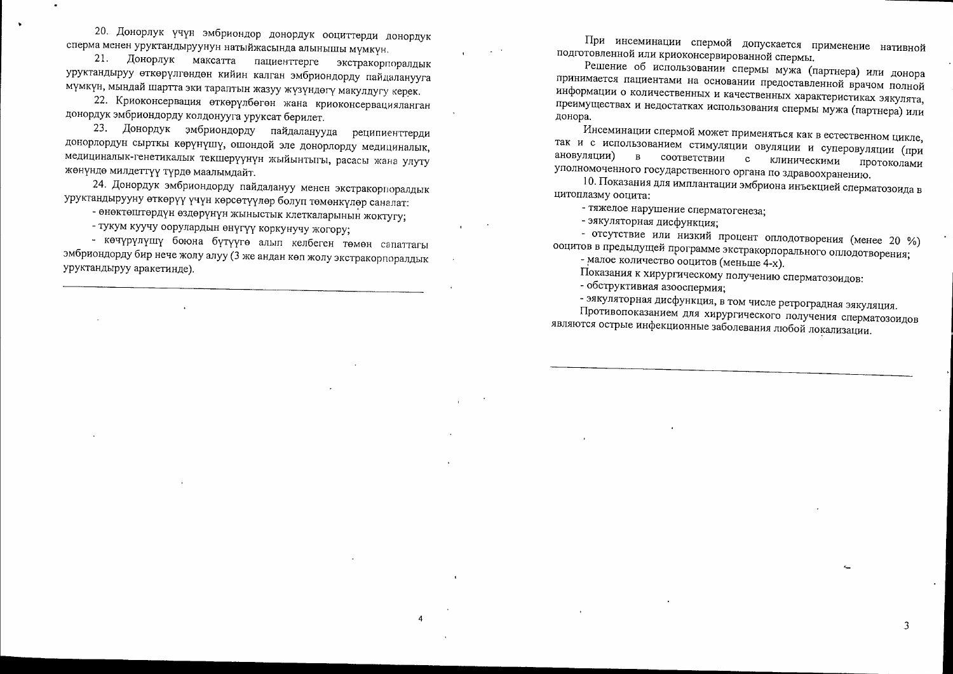20. Донорлук үчүн эмбриондор донордук ооциттерди донордук сперма менен уруктандыруунун натыйжасында алынышы мүмкүн.

21. Донорлук максатта пациенттерге экстракорпоралдык уруктандыруу өткөрүлгөндөн кийин калган эмбриондорду пайдаланууга мүмкүн, мындай шартта эки тараптын жазуу жүзүндөгү макулдугу керек.

22. Криоконсервация өткөрүлбөгөн жана криоконсервацияланган донордук эмбриондорду колдонууга уруксат берилет.

23. Донордук эмбриондорду пайдаланууда реципиенттерди донорлордун сырткы көрүнүшү, ошондой эле донорлорду медициналык, медициналык-генетикалык текшерүүнүн жыйынтыгы, расасы жана улуту жөнүндө милдеттүү түрдө маалымдайт.

24. Донордук эмбриондорду пайдалануу менен экстракориоралдык уруктандырууну өткөрүү үчүн көрсөтүүлөр болуп төмөнкүлөр саналат:

- өнөктөштөрдүн өздөрүнүн жыныстык клеткаларынын жоктугу;

- тукум куучу оорулардын өнүгүү коркунучу жогору;

- көчүрүлүшү боюна бүтүүгө алып келбеген төмөн сапаттагы эмбриондорду бир нече жолу алуу (3 же андан көп жолу экстракорпоралдык уруктандыруу аракетинде).

При инсеминации спермой допускается применение нативной подготовленной или криоконсервированной спермы.

Решение об использовании спермы мужа (партнера) или донора принимается пациентами на основании предоставленной врачом полной информации о количественных и качественных характеристиках эякулята, преимуществах и недостатках использования спермы мужа (партнера) или донора.

Инсеминации спермой может применяться как в естественном цикле, так и с использованием стимуляции овуляции и суперовуляции (при ановуляции) в соответствии с клиническими протоколами уполномоченного государственного органа по здравоохранению.

10. Показания для имплантации эмбриона инъекцией сперматозоида в цитоплазму ооцита:

- тяжелое нарушение сперматогенеза;

- эякуляторная дисфункция;

- отсутствие или низкий процент оплодотворения (менее 20 %) ооцитов в предыдущей программе экстракорпорального оплодотворения;

- малое количество ооцитов (меньше 4-х).

Показания к хирургическому получению сперматозоидов:

- обструктивная азооспермия;

- эякуляторная дисфункция, в том числе ретроградная эякуляция.

Противопоказанием для хирургического получения сперматозоидов являются острые инфекционные заболевания любой локализации.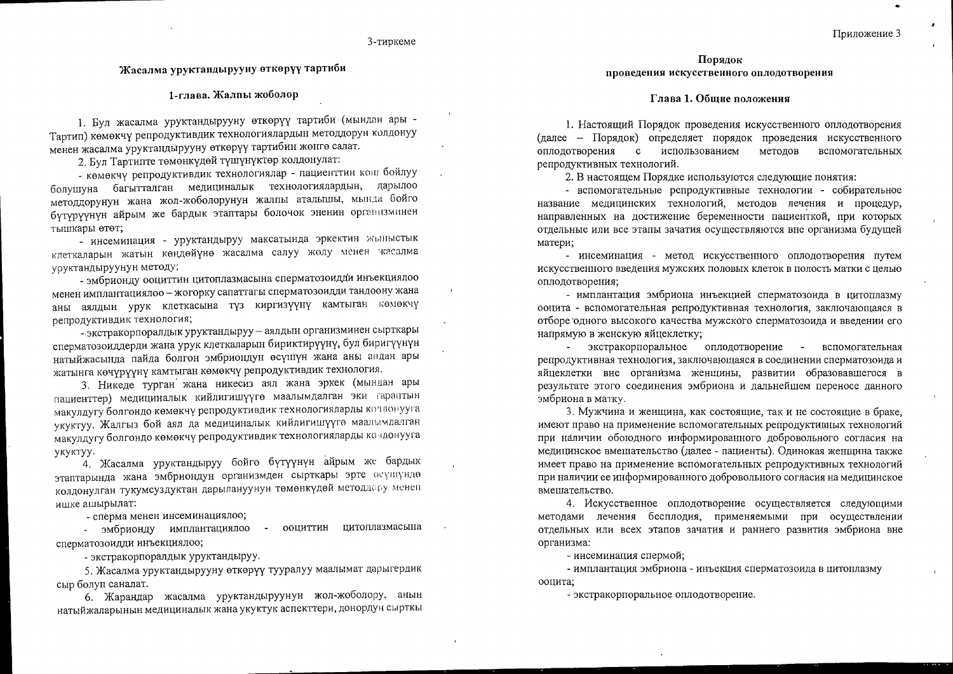#### 3-тиркеме

## Жасалма уруктандырууну өткөрүү тартиби

#### 1-глава. Жалпы жоболор

1. Бул жасалма уруктандырууну өткөрүү тартиби (мындан ары -Тартип) көмөкчү репродуктивдик технологиялардын методдорун колдонуу менен жасалма уруктандырууну өткөрүү тартибин жөнгө салат.

2. Бул Тартипте төмөнкүдөй түшүнүктөр колдонулат:

- көмөкчү репродуктивдик технологиялар - пациенттин кош бойлуу болушуна багытталган медициналык технологиялардын, дарылоо методдорунун жана жол-жоболорунун жалпы аталышы, мында бойго бүтүрүүнүн айрым же бардык этаптары болочок эненин организминен тышкары өтөт;

- инсеминация - уруктандыруу максатында эркектин жыныстык клеткаларын жатын көңдөйүнө жасалма салуу жолу менен жасалма уруктандыруунун методу;

- эмбрионду ооциттин цитоплазмасына сперматозоидди инъекциялоо менен имплантациялоо - жогорку сапаттагы сперматозоидди тандоону жана аны аялдын урук клеткасына түз киргизүүнү камтыган көмөкчү репродуктивдик технология;

- экстракорпоралдык уруктандыруу - аялдын организминен сырткары сперматозоиддерди жана урук клеткаларын бириктирүүнү, бул биригүүнүн натыйжасында пайда болгон эмбриондун өсүшүн жана аны андан ары жатынга көчүрүүнү камтыган көмөкчү репродуктивдик технология.

3. Никеде турган жана никесиз аял жана эркек (мындан ары пациенттер) медициналык кийлигишүүгө маалымдалган эки гараптын макулдугу болгондо көмөкчү репродуктивдик технологияларды кочдонууга укуктуу. Жалгыз бой аял да медициналык кийлигишүүгө маалымдалган макулдугу болгондо көмөкчү репродуктивдик технологияларды кондонууга укуктуу.

4. Жасалма уруктандыруу бойго бүтүүнүн айрым же бардык этаптарында жана эмбриондун организмден сырткары эрте өсүшүндө колдонулган тукумсуздуктан дарылануунун төмөнкүдөй методдору менен ишке ашырылат:

- сперма менен инсеминациялоо;

- ооциттин цитоплазмасына - эмбрионду имплантациялоо сперматозоидди инъекциялоо;

- экстракорпоралдык уруктандыруу.

5. Жасалма уруктандырууну өткөрүү тууралуу маалымат дарыгердик сыр болуп саналат.

6. Жарандар жасалма уруктандыруунун жол-жоболору, анын натыйжаларынын медициналык жана укуктук аспекттери, донордун сырткы

Порядок проведения искусственного оплодотворения

#### Глава 1. Общие положения

1. Настоящий Порядок проведения искусственного оплодотворения (далее - Порядок) определяет порядок проведения искусственного оплодотворения с использованием методов вспомогательных репродуктивных технологий.

2. В настоящем Порядке используются следующие понятия:

- вспомогательные репродуктивные технологии - собирательное название медицинских технологий, методов лечения и процедур, направленных на достижение беременности пациенткой, при которых отдельные или все этапы зачатия осуществляются вне организма будущей матери;

- инсеминация - метод искусственного оплодотворения путем искусственного введения мужских половых клеток в полость матки с целью оплодотворения;

- имплантация эмбриона инъекцией сперматозоида в цитоплазму ооцита - вспомогательная репродуктивная технология, заключающаяся в отборе одного высокого качества мужского сперматозоида и введении его напрямую в женскую яйцеклетку;

экстракорпоральное оплодотворение вспомогательная репродуктивная технология, заключающаяся в соединении сперматозоида и яйцеклетки вне организма женщины, развитии образовавшегося в результате этого соединения эмбриона и дальнейшем переносе данного эмбриона в матку.

3. Мужчина и женщина, как состоящие, так и не состоящие в браке, имеют право на применение вспомогательных репродуктивных технологий при наличии обоюдного информированного добровольного согласия на медицинское вмешательство (далее - пациенты). Одинокая женщина также имеет право на применение вспомогательных репродуктивных технологий при наличии ее информированного добровольного согласия на медицинское вмешательство.

4. Искусственное оплодотворение осуществляется следующими методами лечения бесплодия, применяемыми при осуществлении отдельных или всех этапов зачатия и раннего развития эмбриона вне организма:

- инсеминация спермой;

- имплантация эмбриона - инъекция сперматозоида в цитоплазму ооцита;

- экстракорпоральное оплодотворение.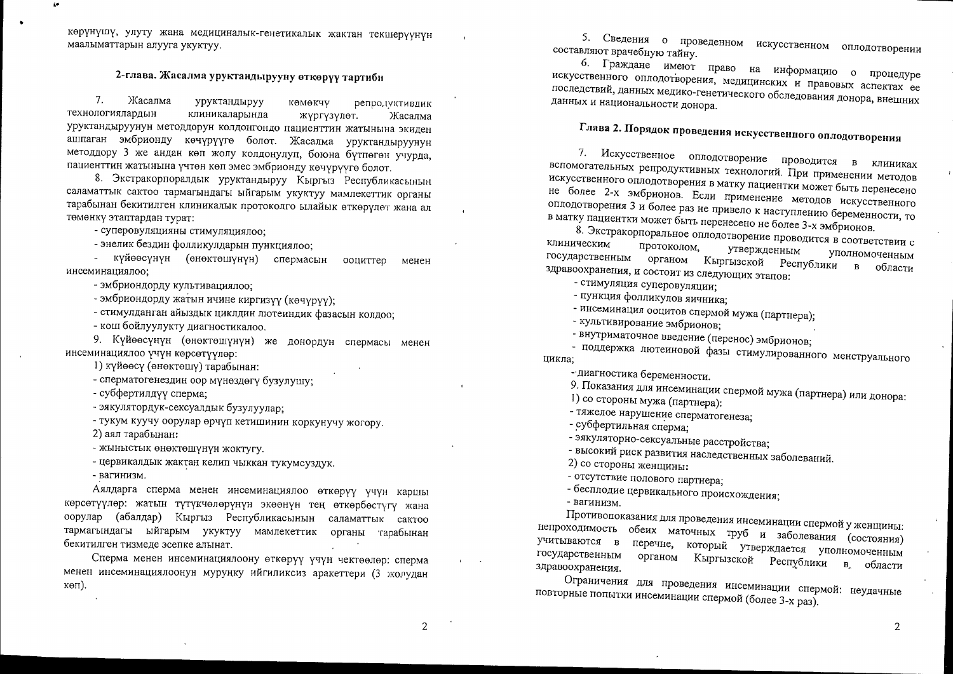көрүнүшү, улуту жана медициналык-генетикалык жактан текшерүүнүн маалыматтарын алууга укуктуу.

# 2-глава. Жасалма уруктандырууну өткөрүү тартиби

 $7.$ Жасалма уруктандыруу репродуктивдик көмөкчү технологиялардын клиникаларында жүргүзүлөт. Жасалма уруктандыруунун методдорун колдонгондо пациенттин жатынына экиден ашпаган эмбрионду көчүрүүгө болот. Жасалма уруктандыруунун методдору 3 же андан көп жолу колдонулуп, боюна бүтпөгөн учурда, пациенттин жатынына үчтөн көп эмес эмбрионду көчүрүүгө болот.

8. Экстракорпоралдык уруктандыруу Кыргыз Республикасынын саламаттык сактоо тармагындагы ыйгарым укуктуу мамлекеттик органы тарабынан бекитилген клиникалык протоколго ылайык өткөрүлөт жана ал төмөнкү этаптардан турат:

- суперовуляцияны стимуляциялоо;

- энелик бездин фолликулдарын пункциялоо;

күйөөсүнүн (өнөктөшүнүн) спермасын ооциттер менен инсеминациялоо:

- эмбриондорду культивациялоо;

- эмбриондорду жатын ичине киргизүү (көчүрүү);

- стимулданган айыздык циклдин лютеиндик фазасын колдоо;

- кош бойлуулукту диагностикалоо.

9. Күйөөсүнүн (өнөктөшүнүн) же донордун спермасы менен инсеминациялоо үчүн көрсөтүүлөр:

1) күйөөсү (өнөктөшү) тарабынан:

- сперматогенездин оор мүнөздөгү бузулушу;

- субфертилдүү сперма;

- эякулятордук-сексуалдык бузулуулар;

- тукум куучу оорулар өрчүп кетишинин коркунучу жогору.

2) аял тарабынан:

- жыныстык өнөктөшүнүн жоктугу.

- цервикалдык жактан келип чыккан тукумсуздук.

- вагинизм.

Аялдарга сперма менен инсеминациялоо өткөрүү үчүн каршы көрсөтүүлөр: жатын түтүкчөлөрүнүн экөөнүн тең өткөрбөстүгү жана оорулар (абалдар) Кыргыз Республикасынын саламаттык сактоо тармагындагы ыйгарым укуктуу мамлекеттик органы тарабынан бекитилген тизмеде эсепке алынат.

Сперма менен инсеминациялоону өткөрүү үчүн чектөөлөр: сперма менен инсеминациялоонун муруңку ийгиликсиз аракеттери (3 жолудан көп).

5. Сведения о проведенном искусственном оплодотворении составляют врачебную тайну.

6. Граждане имеют право на информацию о процедуре искусственного оплодотворения, медицинских и правовых аспектах ее последствий, данных медико-генетического обследования донора, внешних данных и национальности донора.

Глава 2. Порядок проведения искусственного оплодотворения

7. Искусственное оплодотворение проводится в клиниках вспомогательных репродуктивных технологий. При применении методов искусственного оплодотворения в матку пациентки может быть перенесено не более 2-х эмбрионов. Если применение методов искусственного оплодотворения 3 и более раз не привело к наступлению беременности, то в матку пациентки может быть перенесено не более 3-х эмбрионов.

8. Экстракорпоральное оплодотворение проводится в соответствии с клиническим протоколом, утвержденным уполномоченным государственным органом Кыргызской Республики здравоохранения, и состоит из следующих этапов: в области

- стимуляция суперовуляции;

- пункция фолликулов яичника:

- инсеминация ооцитов спермой мужа (партнера);

- культивирование эмбрионов;

- внутриматочное введение (перенос) эмбрионов;

- поддержка лютеиновой фазы стимулированного менструального цикла;

- диагностика беременности.

9. Показания для инсеминации спермой мужа (партнера) или донора:

1) со стороны мужа (партнера):

- тяжелое нарушение сперматогенеза;

- субфертильная сперма;

- эякуляторно-сексуальные расстройства;

- высокий риск развития наследственных заболеваний.

2) со стороны женщины:

- отсутствие полового партнера;

- бесплодие цервикального происхождения;

- вагинизм.

Противопоказания для проведения инсеминации спермой у женщины: непроходимость обеих маточных труб и заболевания (состояния) учитываются в перечне, который утверждается уполномоченным государственным органом Кыргызской Республики в области здравоохранения.

Ограничения для проведения инсеминации спермой: неудачные повторные попытки инсеминации спермой (более 3-х раз).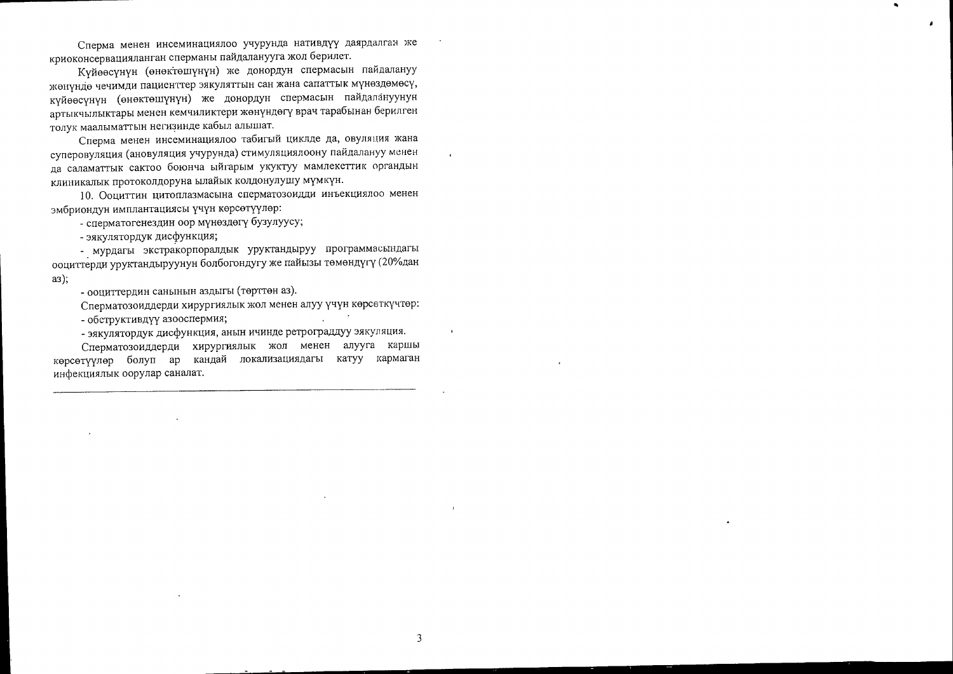Сперма менен инсеминациялоо учурунда нативдүү даярдалган же криоконсервацияланган сперманы пайдаланууга жол берилет.

Күйөөсүнүн (өнөктөшүнүн) же донордун спермасын пайдалануу жөнүндө чечимди пациенттер эякуляттын сан жана сапаттык мүнөздөмөсү, күйөөсүнүн (өнөктөшүнүн) же донордун спермасын пайдалануунун артыкчылыктары менен кемчиликтери жөнүндөгү врач тарабынан берилген толук маалыматтын негизинде кабыл алышат.

Сперма менен инсеминациялоо табигый циклде да, овуляция жана суперовуляция (ановуляция учурунда) стимуляциялоону пайдалануу менен да саламаттык сактоо боюнча ыйгарым укуктуу мамлекеттик органдын клиникалык протоколдоруна ылайык колдонулушу мүмкүн.

10. Ооциттин цитоплазмасына сперматозоидди инъекциялоо менен эмбриондун имплантациясы үчүн көрсөтүүлөр:

- сперматогенездин оор мүнөздөгү бузулуусу;

- эякулятордук дисфункция;

- мурдагы экстракорпоралдык уруктандыруу программасындагы ооциттерди уруктандыруунун болбогондугу же пайызы төмөндүгү (20%дан  $a3);$ 

- ооциттердин санынын аздыгы (төрттөн аз).

Сперматозоиддерди хирургиялык жол менен алуу үчүн көрсөткүчтөр: - обструктивдүү азооспермия; **Contract Contract State** 

- эякулятордук дисфункция, анын ичинде ретрограддуу эякуляция.

Сперматозоиддерди хирургиялык жол менен алууга каршы көрсөтүүлөр болуп ар кандай локализациядагы катуу кармаган инфекциялык оорулар саналат.